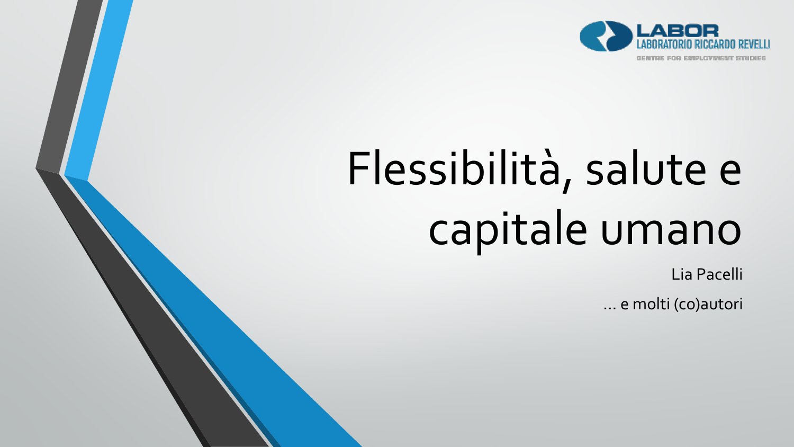

# Flessibilità, salute e capitale umano

Lia Pacelli

… e molti (co)autori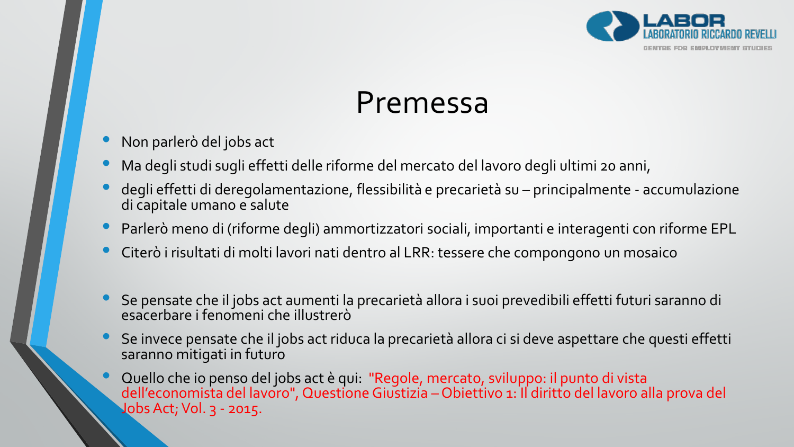

### Premessa

- Non parlerò del jobs act
- Ma degli studi sugli effetti delle riforme del mercato del lavoro degli ultimi 20 anni,
- degli effetti di deregolamentazione, flessibilità e precarietà su principalmente accumulazione di capitale umano e salute
- Parlerò meno di (riforme degli) ammortizzatori sociali, importanti e interagenti con riforme EPL
- Citerò i risultati di molti lavori nati dentro al LRR: tessere che compongono un mosaico
- Se pensate che il jobs act aumenti la precarietà allora i suoi prevedibili effetti futuri saranno di esacerbare i fenomeni che illustrerò
- Se invece pensate che il jobs act riduca la precarietà allora ci si deve aspettare che questi effetti saranno mitigati in futuro
- Quello che io penso del jobs act è qui: "Regole, mercato, sviluppo: il punto di vista dell'economista del lavoro", Questione Giustizia – Obiettivo 1: Il diritto del lavoro alla prova del Jobs Act; Vol. 3 - 2015.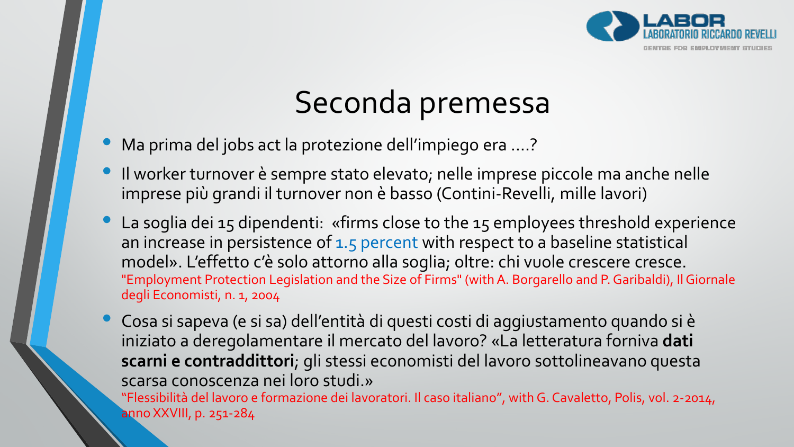

# Seconda premessa

- Ma prima del jobs act la protezione dell'impiego era ….?
- Il worker turnover è sempre stato elevato; nelle imprese piccole ma anche nelle imprese più grandi il turnover non è basso (Contini-Revelli, mille lavori)
- La soglia dei 15 dipendenti: «firms close to the 15 employees threshold experience an increase in persistence of 1.5 percent with respect to a baseline statistical model». L'effetto c'è solo attorno alla soglia; oltre: chi vuole crescere cresce. "Employment Protection Legislation and the Size of Firms" (with A. Borgarello and P. Garibaldi), Il Giornale degli Economisti, n. 1, 2004
	- Cosa si sapeva (e si sa) dell'entità di questi costi di aggiustamento quando si è iniziato a deregolamentare il mercato del lavoro? «La letteratura forniva **dati scarni e contraddittori**; gli stessi economisti del lavoro sottolineavano questa scarsa conoscenza nei loro studi.»

"Flessibilità del lavoro e formazione dei lavoratori. Il caso italiano", with G. Cavaletto, Polis, vol. 2-2014, anno XXVIII, p. 251-284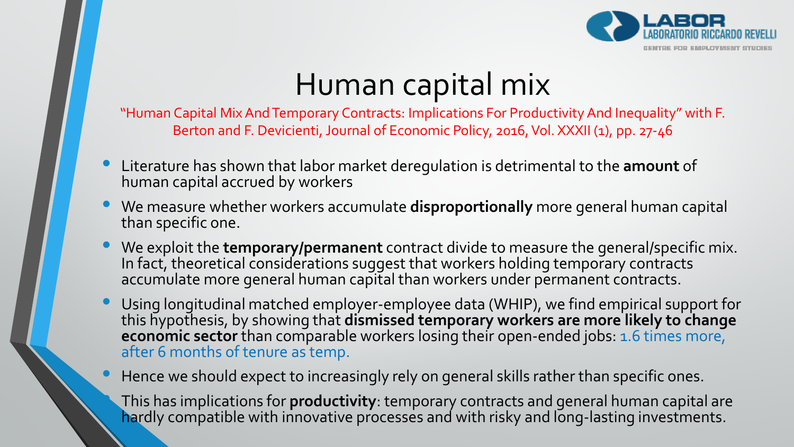

# Human capital mix

"Human Capital Mix And Temporary Contracts: Implications For Productivity And Inequality" with F. Berton and F. Devicienti, Journal of Economic Policy, 2016, Vol. XXXII (1), pp. 27-46

- Literature has shown that labor market deregulation is detrimental to the **amount** of human capital accrued by workers
- We measure whether workers accumulate **disproportionally** more general human capital than specific one.
- We exploit the **temporary/permanent** contract divide to measure the general/specific mix. In fact, theoretical considerations suggest that workers holding temporary contracts accumulate more general human capital than workers under permanent contracts.
- Using longitudinal matched employer-employee data (WHIP), we find empirical support for this hypothesis, by showing that **dismissed temporary workers are more likely to change economic sector** than comparable workers losing their open-ended jobs: 1.6 times more, after 6 months of tenure as temp.

• Hence we should expect to increasingly rely on general skills rather than specific ones.

• This has implications for **productivity**: temporary contracts and general human capital are hardly compatible with innovative processes and with risky and long-lasting investments.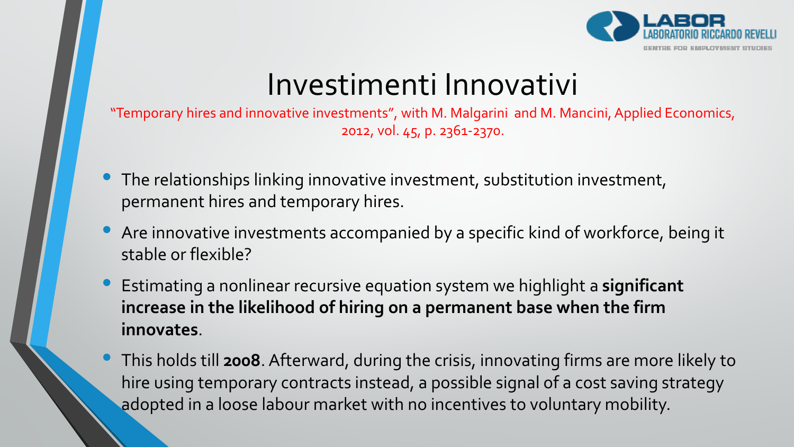

### Investimenti Innovativi

"Temporary hires and innovative investments", with M. Malgarini and M. Mancini, Applied Economics, 2012, vol. 45, p. 2361-2370.

- The relationships linking innovative investment, substitution investment, permanent hires and temporary hires.
- Are innovative investments accompanied by a specific kind of workforce, being it stable or flexible?
- Estimating a nonlinear recursive equation system we highlight a **significant increase in the likelihood of hiring on a permanent base when the firm innovates**.
- This holds till **2008**. Afterward, during the crisis, innovating firms are more likely to hire using temporary contracts instead, a possible signal of a cost saving strategy adopted in a loose labour market with no incentives to voluntary mobility.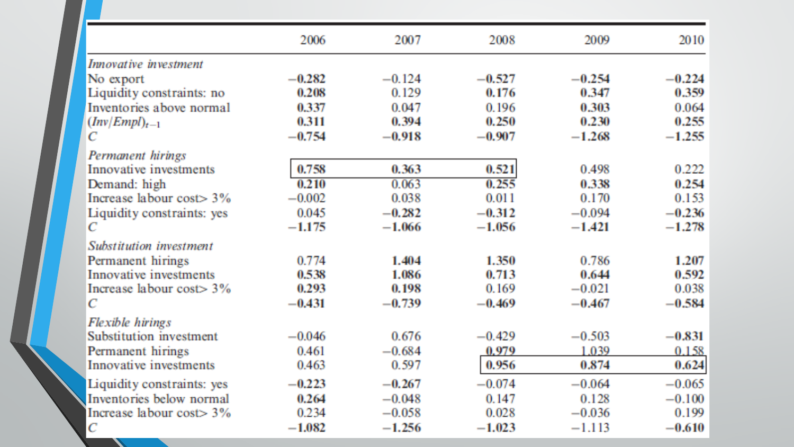|                              | 2006     | 2007     | 2008     | 2009     | 2010     |
|------------------------------|----------|----------|----------|----------|----------|
| Innovative investment        |          |          |          |          |          |
| No export                    | $-0.282$ | $-0.124$ | $-0.527$ | $-0.254$ | $-0.224$ |
| Liquidity constraints: no    | 0.208    | 0.129    | 0.176    | 0.347    | 0.359    |
| Inventories above normal     | 0.337    | 0.047    | 0.196    | 0.303    | 0.064    |
| $(Inv/EmpD_{t-1})$           | 0.311    | 0.394    | 0.250    | 0.230    | 0.255    |
| C                            | $-0.754$ | $-0.918$ | $-0.907$ | $-1.268$ | $-1.255$ |
| Permanent hirings            |          |          |          |          |          |
| Innovative investments       | 0.758    | 0.363    | 0.521    | 0.498    | 0.222    |
| Demand: high                 | 0.210    | 0.063    | 0.255    | 0.338    | 0.254    |
| Increase labour cost $>$ 3%  | $-0.002$ | 0.038    | 0.011    | 0.170    | 0.153    |
| Liquidity constraints: yes   | 0.045    | $-0.282$ | $-0.312$ | $-0.094$ | $-0.236$ |
| $\mathbb{C}$                 | $-1.175$ | $-1.066$ | $-1.056$ | $-1.421$ | $-1.278$ |
| Substitution investment      |          |          |          |          |          |
| Permanent hirings            | 0.774    | 1.404    | 1.350    | 0.786    | 1.207    |
| Innovative investments       | 0.538    | 1.086    | 0.713    | 0.644    | 0.592    |
| Increase labour cost> 3%     | 0.293    | 0.198    | 0.169    | $-0.021$ | 0.038    |
| $\mathbb{C}$                 | $-0.431$ | $-0.739$ | $-0.469$ | $-0.467$ | $-0.584$ |
| Flexible hirings             |          |          |          |          |          |
| Substitution investment      | $-0.046$ | 0.676    | $-0.429$ | $-0.503$ | $-0.831$ |
| Permanent hirings            | 0.461    | $-0.684$ | 0.979    | 1.039    | 0.158    |
| Innovative investments       | 0.463    | 0.597    | 0.956    | 0.874    | 0.624    |
| Liquidity constraints: yes   | $-0.223$ | $-0.267$ | $-0.074$ | $-0.064$ | $-0.065$ |
| Inventories below normal     | 0.264    | $-0.048$ | 0.147    | 0.128    | $-0.100$ |
| Increase labour $cost > 3\%$ | 0.234    | $-0.058$ | 0.028    | $-0.036$ | 0.199    |
| $\mathcal{C}$                | $-1.082$ | $-1.256$ | $-1.023$ | $-1.113$ | $-0.610$ |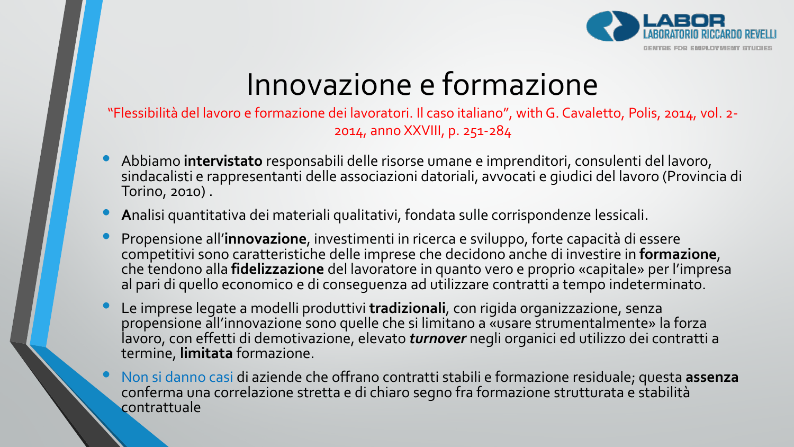

# Innovazione e formazione

"Flessibilità del lavoro e formazione dei lavoratori. Il caso italiano", with G. Cavaletto, Polis, 2014, vol. 2- 2014, anno XXVIII, p. 251-284

- Abbiamo **intervistato** responsabili delle risorse umane e imprenditori, consulenti del lavoro, sindacalisti e rappresentanti delle associazioni datoriali, avvocati e giudici del lavoro (Provincia di Torino, 2010) .
- **<sup>A</sup>**nalisi quantitativa dei materiali qualitativi, fondata sulle corrispondenze lessicali.
- Propensione all'**innovazione**, investimenti in ricerca e sviluppo, forte capacità di essere competitivi sono caratteristiche delle imprese che decidono anche di investire in **formazione**, che tendono alla **fidelizzazione** del lavoratore in quanto vero e proprio «capitale» per l'impresa al pari di quello economico e di conseguenza ad utilizzare contratti a tempo indeterminato.
- Le imprese legate a modelli produttivi **tradizionali**, con rigida organizzazione, senza propensione all'innovazione sono quelle che si limitano a «usare strumentalmente» la forza lavoro, con effetti di demotivazione, elevato *turnover* negli organici ed utilizzo dei contratti a termine, **limitata** formazione.
- Non si danno casi di aziende che offrano contratti stabili e formazione residuale; questa **assenza** conferma una correlazione stretta e di chiaro segno fra formazione strutturata e stabilità contrattuale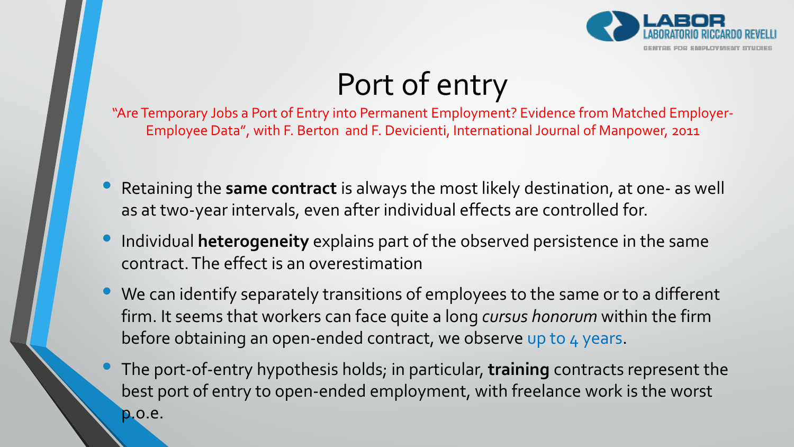

# Port of entry

"Are Temporary Jobs a Port of Entry into Permanent Employment? Evidence from Matched Employer-Employee Data", with F. Berton and F. Devicienti, International Journal of Manpower, 2011

- Retaining the **same contract** is always the most likely destination, at one- as well as at two-year intervals, even after individual effects are controlled for.
- Individual **heterogeneity** explains part of the observed persistence in the same contract. The effect is an overestimation
- We can identify separately transitions of employees to the same or to a different firm. It seems that workers can face quite a long *cursus honorum* within the firm before obtaining an open-ended contract, we observe up to 4 years.
- The port-of-entry hypothesis holds; in particular, **training** contracts represent the best port of entry to open-ended employment, with freelance work is the worst p.o.e.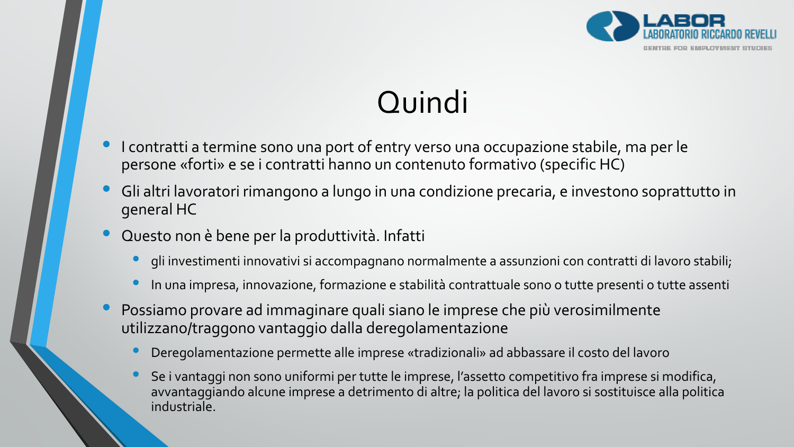

# **Quindi**

- I contratti a termine sono una port of entry verso una occupazione stabile, ma per le persone «forti» e se i contratti hanno un contenuto formativo (specific HC)
- Gli altri lavoratori rimangono a lungo in una condizione precaria, e investono soprattutto in general HC
- Questo non è bene per la produttività. Infatti
	- gli investimenti innovativi si accompagnano normalmente a assunzioni con contratti di lavoro stabili;
	- In una impresa, innovazione, formazione e stabilità contrattuale sono o tutte presenti o tutte assenti
- Possiamo provare ad immaginare quali siano le imprese che più verosimilmente utilizzano/traggono vantaggio dalla deregolamentazione
	- Deregolamentazione permette alle imprese «tradizionali» ad abbassare il costo del lavoro
	- Se i vantaggi non sono uniformi per tutte le imprese, l'assetto competitivo fra imprese si modifica, avvantaggiando alcune imprese a detrimento di altre; la politica del lavoro si sostituisce alla politica industriale.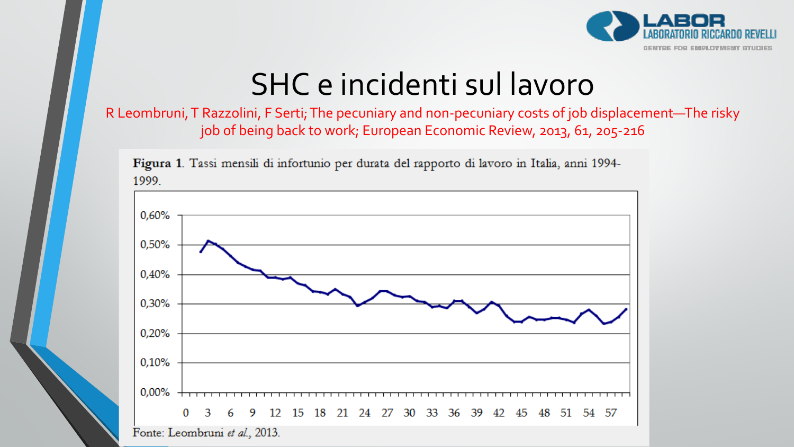

# SHC e incidenti sul lavoro

#### R Leombruni, T Razzolini, F Serti; The pecuniary and non-pecuniary costs of job displacement—The risky job of being back to work; European Economic Review, 2013, 61, 205-216



Figura 1. Tassi mensili di infortunio per durata del rapporto di lavoro in Italia, anni 1994-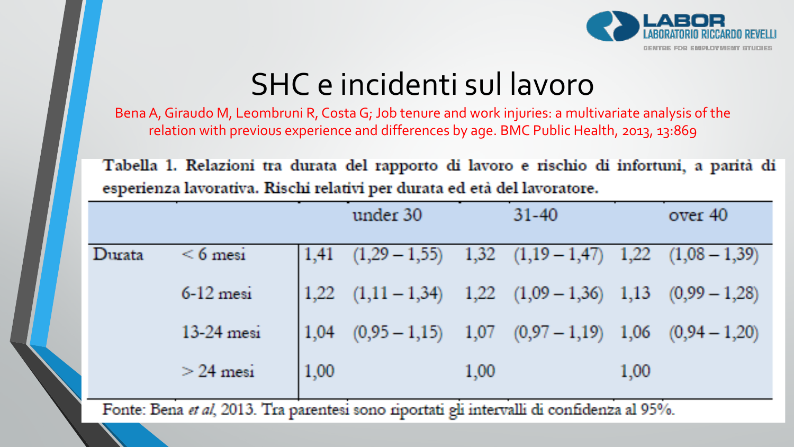

# SHC e incidenti sul lavoro

BenaA, Giraudo M, Leombruni R, Costa G; Job tenure and work injuries: a multivariate analysis of the relation with previous experience and differences by age. BMC Public Health, 2013, 13:869

Tabella 1. Relazioni tra durata del rapporto di lavoro e rischio di infortuni, a parità di esperienza lavorativa. Rischi relativi per durata ed età del lavoratore.

|        |               |      | under 30                                                       |      | $31 - 40$ |      | over 40 |
|--------|---------------|------|----------------------------------------------------------------|------|-----------|------|---------|
| Durata | $\leq 6$ mesi |      | $1,41$ $(1,29-1,55)$ $1,32$ $(1,19-1,47)$ $1,22$ $(1,08-1,39)$ |      |           |      |         |
|        | $6-12$ mesi   |      | $1,22$ $(1,11-1,34)$ $1,22$ $(1,09-1,36)$ $1,13$ $(0,99-1,28)$ |      |           |      |         |
|        | $13-24$ mesi  |      | $1,04$ $(0,95-1,15)$ $1,07$ $(0,97-1,19)$ $1,06$ $(0,94-1,20)$ |      |           |      |         |
|        | $>$ 24 mesi   | 1,00 |                                                                | 1,00 |           | 1,00 |         |

Fonte: Bena et al, 2013. Tra parentesi sono riportati gli intervalli di confidenza al 95%.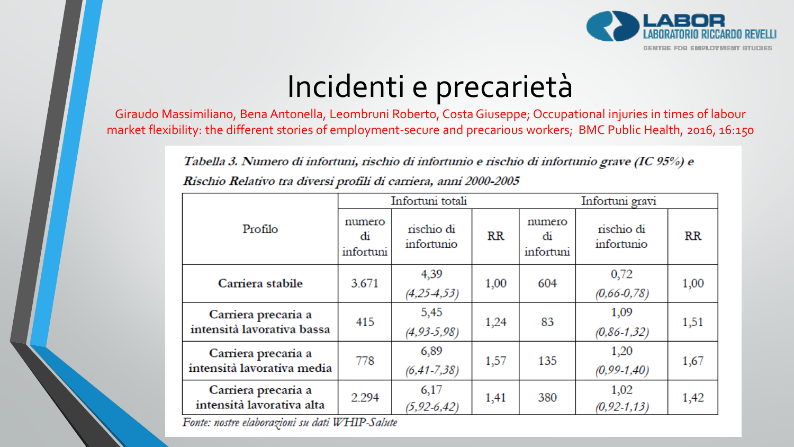

# Incidenti e precarietà

Giraudo Massimiliano, Bena Antonella, Leombruni Roberto, Costa Giuseppe; Occupational injuries in times of labour market flexibility: the different stories of employment-secure and precarious workers; BMC Public Health, 2016, 16:150

Tabella 3. Numero di infortuni, rischio di infortunio e rischio di infortunio grave (IC 95%) e

|                                                   | Infortuni totali          |                          |      | Infortuni gravi           |                          |      |
|---------------------------------------------------|---------------------------|--------------------------|------|---------------------------|--------------------------|------|
| Profilo                                           | numero<br>di<br>infortuni | rischio di<br>infortunio | RR   | numero<br>di<br>infortuni | rischio di<br>infortunio | RR   |
| Carriera stabile                                  | 3.671                     | 4,39                     | 1,00 | 604                       | 0,72                     | 1,00 |
|                                                   |                           | $(4, 25-4, 53)$          |      |                           | $(0,66-0,78)$            |      |
| Carriera precaria a<br>intensità lavorativa bassa | 415                       | 5,45                     | 1,24 | 83                        | 1,09                     | 1,51 |
|                                                   |                           | $(4, 93 - 5, 98)$        |      |                           | $(0,86-1,32)$            |      |
| Carriera precaria a<br>intensità lavorativa media | 778                       | 6,89                     | 1,57 | 135                       | 1,20                     | 1,67 |
|                                                   |                           | $(6, 41 - 7, 38)$        |      |                           | $(0, 99-1, 40)$          |      |
| Carriera precaria a<br>intensità lavorativa alta  | 2.294                     | 6,17                     | 1,41 | 380                       | 1,02                     | 1,42 |
|                                                   |                           | $(5, 92 - 6, 42)$        |      |                           | $(0, 92 - 1, 13)$        |      |

Rischio Relativo tra diversi profili di carriera, anni 2000-2005

Fonte: nostre elaborazioni su dati WHIP-Salute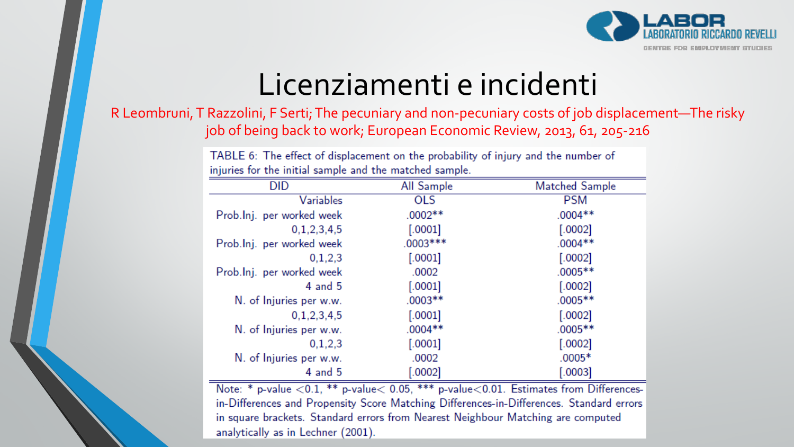

### Licenziamenti e incidenti

R Leombruni, T Razzolini, F Serti; The pecuniary and non-pecuniary costs of job displacement—The risky job of being back to work; European Economic Review, 2013, 61, 205-216

| TABLE 6: The effect of displacement on the probability of injury and the number of |            |                |  |  |  |
|------------------------------------------------------------------------------------|------------|----------------|--|--|--|
| injuries for the initial sample and the matched sample.                            |            |                |  |  |  |
| <b>DID</b>                                                                         | All Sample | Matched Sample |  |  |  |
| Variables                                                                          | <b>OLS</b> | <b>PSM</b>     |  |  |  |
| Prob.lnj. per worked week                                                          | $.0002**$  | $.0004**$      |  |  |  |
| 0, 1, 2, 3, 4, 5                                                                   | [.0001]    | [.0002]        |  |  |  |
| Prob.Inj. per worked week                                                          | $.0003***$ | $.0004**$      |  |  |  |
| 0,1,2,3                                                                            | $[.0001]$  | [.0002]        |  |  |  |
| Prob.lnj. per worked week                                                          | .0002      | $.0005**$      |  |  |  |
| $4$ and $5$                                                                        | [.0001]    | [.0002]        |  |  |  |
| N. of Injuries per w.w.                                                            | $.0003**$  | $.0005**$      |  |  |  |
| 0, 1, 2, 3, 4, 5                                                                   | [.0001]    | [.0002]        |  |  |  |
| N. of Injuries per w.w.                                                            | $.0004**$  | $.0005**$      |  |  |  |
| 0,1,2,3                                                                            | $[.0001]$  | $[.0002]$      |  |  |  |
| N. of Injuries per w.w.                                                            | .0002      | $.0005*$       |  |  |  |
| $4$ and $5$                                                                        | [.0002]    | [.0003]        |  |  |  |

Note: \* p-value < 0.1, \*\* p-value < 0.05, \*\*\* p-value < 0.01. Estimates from Differencesin-Differences and Propensity Score Matching Differences-in-Differences. Standard errors in square brackets. Standard errors from Nearest Neighbour Matching are computed analytically as in Lechner (2001).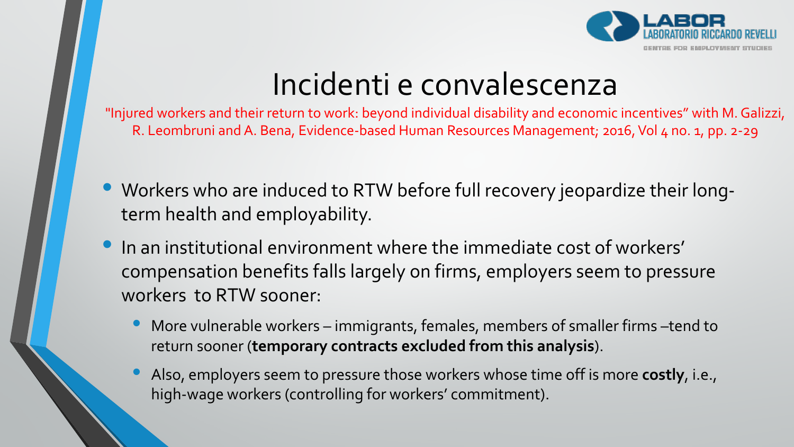

### Incidenti e convalescenza

"Injured workers and their return to work: beyond individual disability and economic incentives" with M. Galizzi, R. Leombruni and A. Bena, Evidence-based Human Resources Management; 2016, Vol 4 no. 1, pp. 2-29

- Workers who are induced to RTW before full recovery jeopardize their longterm health and employability.
- In an institutional environment where the immediate cost of workers' compensation benefits falls largely on firms, employers seem to pressure workers to RTW sooner:
	- More vulnerable workers immigrants, females, members of smaller firms –tend to return sooner (**temporary contracts excluded from this analysis**).
	- Also, employers seem to pressure those workers whose time off is more **costly**, i.e., high-wage workers (controlling for workers' commitment).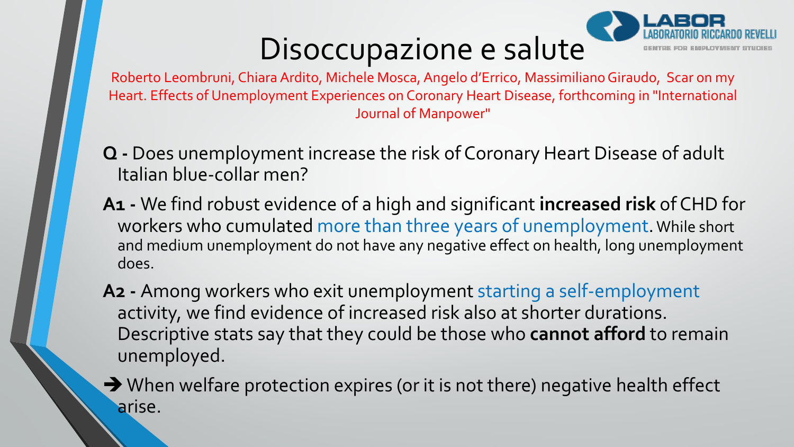# Disoccupazione e salute



Roberto Leombruni, Chiara Ardito, Michele Mosca, Angelo d'Errico, Massimiliano Giraudo, Scar on my Heart. Effects of Unemployment Experiences on Coronary Heart Disease, forthcoming in "International Journal of Manpower"

- **Q -** Does unemployment increase the risk of Coronary Heart Disease of adult Italian blue-collar men?
- **A1 -** We find robust evidence of a high and significant **increased risk** of CHD for workers who cumulated more than three years of unemployment.While short and medium unemployment do not have any negative effect on health, long unemployment does.
- **A2 -** Among workers who exit unemployment starting a self-employment activity, we find evidence of increased risk also at shorter durations. Descriptive stats say that they could be those who **cannot afford** to remain unemployed.
- $\rightarrow$  When welfare protection expires (or it is not there) negative health effect arise.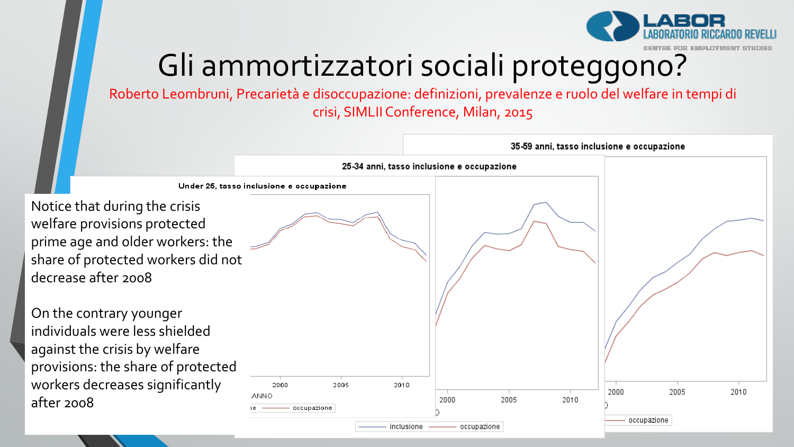

# Gli ammortizzatori sociali proteggono?

Roberto Leombruni, Precarietà e disoccupazione: definizioni, prevalenze e ruolo del welfare in tempi di crisi, SIMLII Conference, Milan, 2015